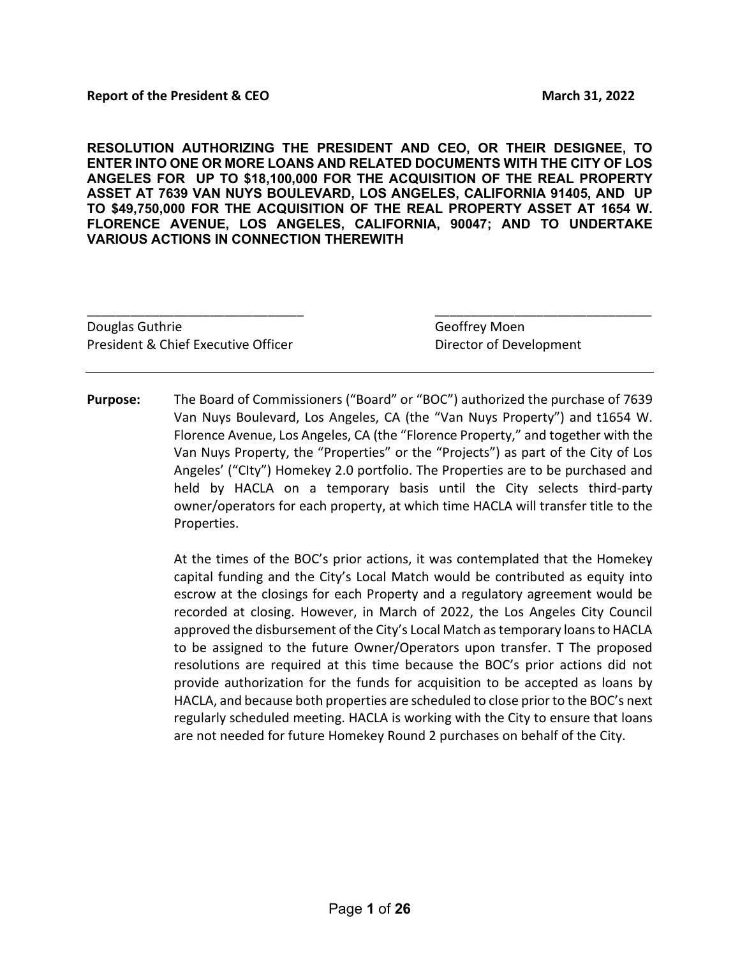**RESOLUTION AUTHORIZING THE PRESIDENT AND CEO, OR THEIR DESIGNEE, TO ENTER INTO ONE OR MORE LOANS AND RELATED DOCUMENTS WITH THE CITY OF LOS ANGELES FOR UP TO \$18,100,000 FOR THE ACQUISITION OF THE REAL PROPERTY ASSET AT 7639 VAN NUYS BOULEVARD, LOS ANGELES, CALIFORNIA 91405, AND UP TO \$49,750,000 FOR THE ACQUISITION OF THE REAL PROPERTY ASSET AT 1654 W. FLORENCE AVENUE, LOS ANGELES, CALIFORNIA, 90047; AND TO UNDERTAKE VARIOUS ACTIONS IN CONNECTION THEREWITH**

| Douglas Guthrie                     | Geoffrey Moen           |
|-------------------------------------|-------------------------|
| President & Chief Executive Officer | Director of Development |

**Purpose:** The Board of Commissioners ("Board" or "BOC") authorized the purchase of 7639 Van Nuys Boulevard, Los Angeles, CA (the "Van Nuys Property") and t1654 W. Florence Avenue, Los Angeles, CA (the "Florence Property," and together with the Van Nuys Property, the "Properties" or the "Projects") as part of the City of Los Angeles' ("CIty") Homekey 2.0 portfolio. The Properties are to be purchased and held by HACLA on a temporary basis until the City selects third-party owner/operators for each property, at which time HACLA will transfer title to the Properties.

> At the times of the BOC's prior actions, it was contemplated that the Homekey capital funding and the City's Local Match would be contributed as equity into escrow at the closings for each Property and a regulatory agreement would be recorded at closing. However, in March of 2022, the Los Angeles City Council approved the disbursement of the City's Local Match as temporary loans to HACLA to be assigned to the future Owner/Operators upon transfer. T The proposed resolutions are required at this time because the BOC's prior actions did not provide authorization for the funds for acquisition to be accepted as loans by HACLA, and because both properties are scheduled to close prior to the BOC's next regularly scheduled meeting. HACLA is working with the City to ensure that loans are not needed for future Homekey Round 2 purchases on behalf of the City.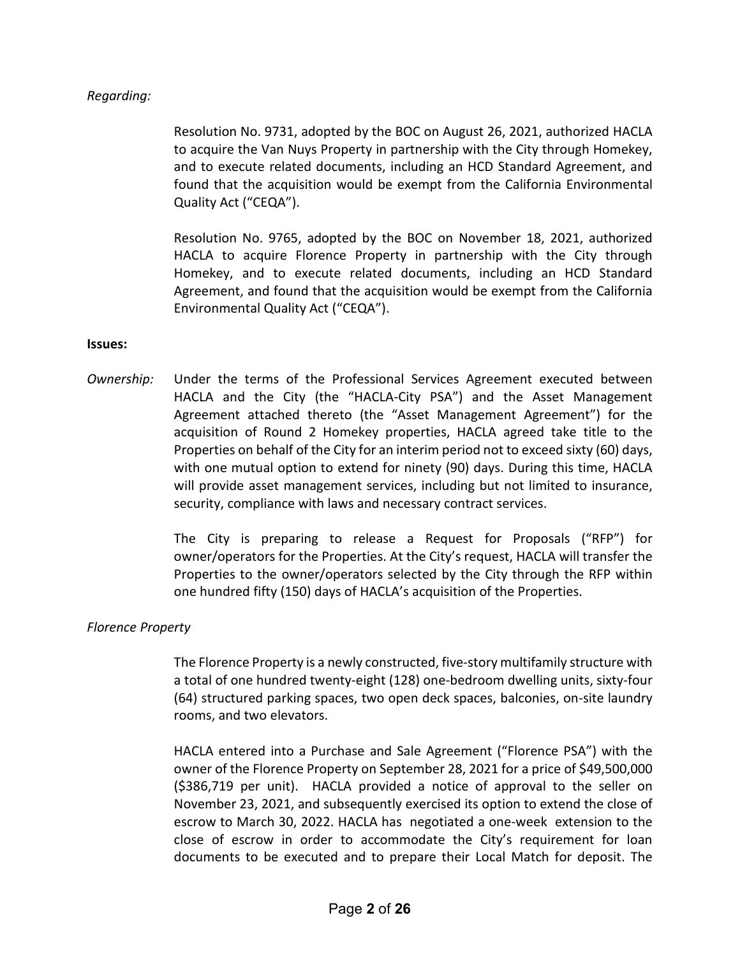### *Regarding:*

Resolution No. 9731, adopted by the BOC on August 26, 2021, authorized HACLA to acquire the Van Nuys Property in partnership with the City through Homekey, and to execute related documents, including an HCD Standard Agreement, and found that the acquisition would be exempt from the California Environmental Quality Act ("CEQA").

Resolution No. 9765, adopted by the BOC on November 18, 2021, authorized HACLA to acquire Florence Property in partnership with the City through Homekey, and to execute related documents, including an HCD Standard Agreement, and found that the acquisition would be exempt from the California Environmental Quality Act ("CEQA").

#### **Issues:**

*Ownership:* Under the terms of the Professional Services Agreement executed between HACLA and the City (the "HACLA-City PSA") and the Asset Management Agreement attached thereto (the "Asset Management Agreement") for the acquisition of Round 2 Homekey properties, HACLA agreed take title to the Properties on behalf of the City for an interim period not to exceed sixty (60) days, with one mutual option to extend for ninety (90) days. During this time, HACLA will provide asset management services, including but not limited to insurance, security, compliance with laws and necessary contract services.

> The City is preparing to release a Request for Proposals ("RFP") for owner/operators for the Properties. At the City's request, HACLA will transfer the Properties to the owner/operators selected by the City through the RFP within one hundred fifty (150) days of HACLA's acquisition of the Properties.

### *Florence Property*

The Florence Property is a newly constructed, five-story multifamily structure with a total of one hundred twenty-eight (128) one-bedroom dwelling units, sixty-four (64) structured parking spaces, two open deck spaces, balconies, on-site laundry rooms, and two elevators.

HACLA entered into a Purchase and Sale Agreement ("Florence PSA") with the owner of the Florence Property on September 28, 2021 for a price of \$49,500,000 (\$386,719 per unit). HACLA provided a notice of approval to the seller on November 23, 2021, and subsequently exercised its option to extend the close of escrow to March 30, 2022. HACLA has negotiated a one-week extension to the close of escrow in order to accommodate the City's requirement for loan documents to be executed and to prepare their Local Match for deposit. The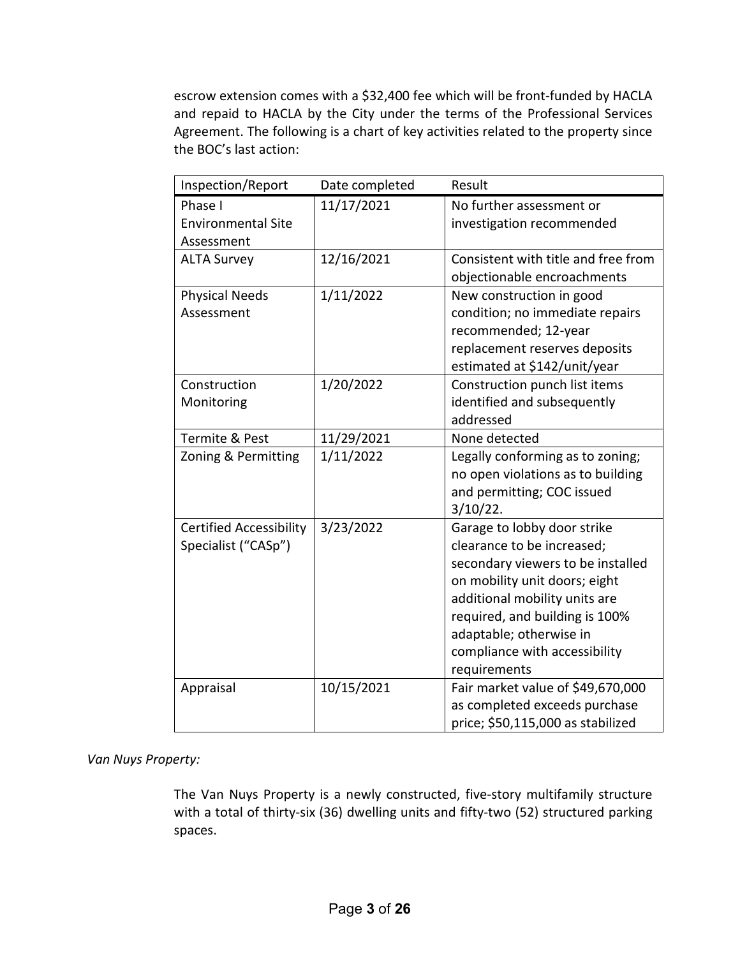escrow extension comes with a \$32,400 fee which will be front-funded by HACLA and repaid to HACLA by the City under the terms of the Professional Services Agreement. The following is a chart of key activities related to the property since the BOC's last action:

| Inspection/Report              | Date completed | Result                                                             |
|--------------------------------|----------------|--------------------------------------------------------------------|
| Phase I                        | 11/17/2021     | No further assessment or                                           |
| <b>Environmental Site</b>      |                | investigation recommended                                          |
| Assessment                     |                |                                                                    |
| <b>ALTA Survey</b>             | 12/16/2021     | Consistent with title and free from                                |
|                                |                | objectionable encroachments                                        |
| <b>Physical Needs</b>          | 1/11/2022      | New construction in good                                           |
| Assessment                     |                | condition; no immediate repairs                                    |
|                                |                | recommended; 12-year                                               |
|                                |                | replacement reserves deposits                                      |
|                                |                | estimated at \$142/unit/year                                       |
| Construction                   | 1/20/2022      | Construction punch list items                                      |
| Monitoring                     |                | identified and subsequently                                        |
|                                |                | addressed                                                          |
| Termite & Pest                 | 11/29/2021     | None detected                                                      |
| Zoning & Permitting            | 1/11/2022      | Legally conforming as to zoning;                                   |
|                                |                | no open violations as to building                                  |
|                                |                | and permitting; COC issued                                         |
|                                |                | $3/10/22$ .                                                        |
| <b>Certified Accessibility</b> | 3/23/2022      | Garage to lobby door strike                                        |
| Specialist ("CASp")            |                | clearance to be increased;                                         |
|                                |                | secondary viewers to be installed                                  |
|                                |                | on mobility unit doors; eight                                      |
|                                |                | additional mobility units are                                      |
|                                |                | required, and building is 100%                                     |
|                                |                | adaptable; otherwise in                                            |
|                                |                | compliance with accessibility                                      |
|                                |                | requirements                                                       |
| Appraisal                      | 10/15/2021     | Fair market value of \$49,670,000<br>as completed exceeds purchase |
|                                |                | price; \$50,115,000 as stabilized                                  |
|                                |                |                                                                    |

### *Van Nuys Property:*

The Van Nuys Property is a newly constructed, five-story multifamily structure with a total of thirty-six (36) dwelling units and fifty-two (52) structured parking spaces.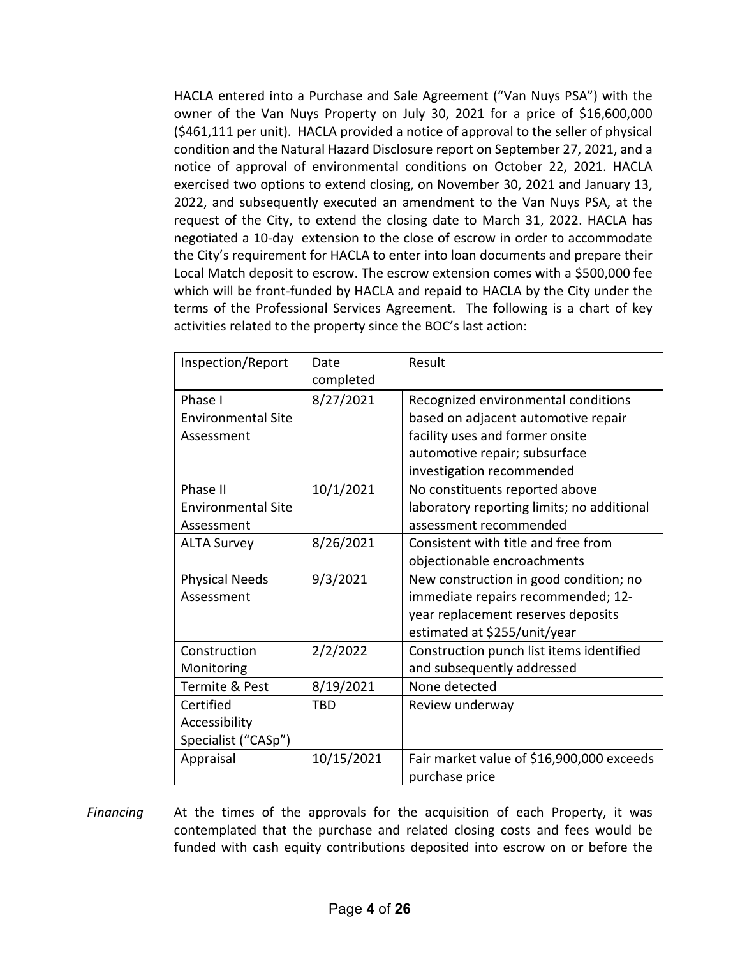HACLA entered into a Purchase and Sale Agreement ("Van Nuys PSA") with the owner of the Van Nuys Property on July 30, 2021 for a price of \$16,600,000 (\$461,111 per unit). HACLA provided a notice of approval to the seller of physical condition and the Natural Hazard Disclosure report on September 27, 2021, and a notice of approval of environmental conditions on October 22, 2021. HACLA exercised two options to extend closing, on November 30, 2021 and January 13, 2022, and subsequently executed an amendment to the Van Nuys PSA, at the request of the City, to extend the closing date to March 31, 2022. HACLA has negotiated a 10-day extension to the close of escrow in order to accommodate the City's requirement for HACLA to enter into loan documents and prepare their Local Match deposit to escrow. The escrow extension comes with a \$500,000 fee which will be front-funded by HACLA and repaid to HACLA by the City under the terms of the Professional Services Agreement. The following is a chart of key activities related to the property since the BOC's last action:

| Inspection/Report         | Date       | Result                                     |
|---------------------------|------------|--------------------------------------------|
|                           | completed  |                                            |
| Phase I                   | 8/27/2021  | Recognized environmental conditions        |
| <b>Environmental Site</b> |            | based on adjacent automotive repair        |
| Assessment                |            | facility uses and former onsite            |
|                           |            | automotive repair; subsurface              |
|                           |            | investigation recommended                  |
| Phase II                  | 10/1/2021  | No constituents reported above             |
| <b>Environmental Site</b> |            | laboratory reporting limits; no additional |
| Assessment                |            | assessment recommended                     |
| <b>ALTA Survey</b>        | 8/26/2021  | Consistent with title and free from        |
|                           |            | objectionable encroachments                |
| <b>Physical Needs</b>     | 9/3/2021   | New construction in good condition; no     |
| Assessment                |            | immediate repairs recommended; 12-         |
|                           |            | year replacement reserves deposits         |
|                           |            | estimated at \$255/unit/year               |
| Construction              | 2/2/2022   | Construction punch list items identified   |
| Monitoring                |            | and subsequently addressed                 |
| <b>Termite &amp; Pest</b> | 8/19/2021  | None detected                              |
| Certified                 | <b>TBD</b> | Review underway                            |
| Accessibility             |            |                                            |
| Specialist ("CASp")       |            |                                            |
| Appraisal                 | 10/15/2021 | Fair market value of \$16,900,000 exceeds  |
|                           |            | purchase price                             |

*Financing* At the times of the approvals for the acquisition of each Property, it was contemplated that the purchase and related closing costs and fees would be funded with cash equity contributions deposited into escrow on or before the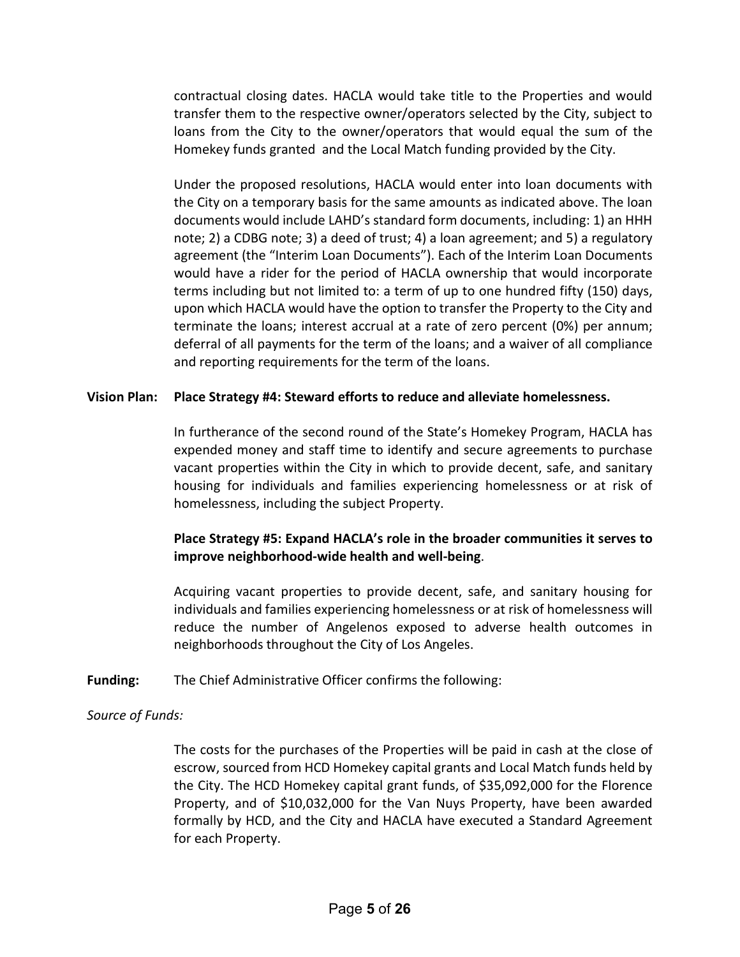contractual closing dates. HACLA would take title to the Properties and would transfer them to the respective owner/operators selected by the City, subject to loans from the City to the owner/operators that would equal the sum of the Homekey funds granted and the Local Match funding provided by the City.

Under the proposed resolutions, HACLA would enter into loan documents with the City on a temporary basis for the same amounts as indicated above. The loan documents would include LAHD's standard form documents, including: 1) an HHH note; 2) a CDBG note; 3) a deed of trust; 4) a loan agreement; and 5) a regulatory agreement (the "Interim Loan Documents"). Each of the Interim Loan Documents would have a rider for the period of HACLA ownership that would incorporate terms including but not limited to: a term of up to one hundred fifty (150) days, upon which HACLA would have the option to transfer the Property to the City and terminate the loans; interest accrual at a rate of zero percent (0%) per annum; deferral of all payments for the term of the loans; and a waiver of all compliance and reporting requirements for the term of the loans.

### **Vision Plan: Place Strategy #4: Steward efforts to reduce and alleviate homelessness.**

In furtherance of the second round of the State's Homekey Program, HACLA has expended money and staff time to identify and secure agreements to purchase vacant properties within the City in which to provide decent, safe, and sanitary housing for individuals and families experiencing homelessness or at risk of homelessness, including the subject Property.

### **Place Strategy #5: Expand HACLA's role in the broader communities it serves to improve neighborhood-wide health and well-being**.

Acquiring vacant properties to provide decent, safe, and sanitary housing for individuals and families experiencing homelessness or at risk of homelessness will reduce the number of Angelenos exposed to adverse health outcomes in neighborhoods throughout the City of Los Angeles.

### **Funding:** The Chief Administrative Officer confirms the following:

### *Source of Funds:*

The costs for the purchases of the Properties will be paid in cash at the close of escrow, sourced from HCD Homekey capital grants and Local Match funds held by the City. The HCD Homekey capital grant funds, of \$35,092,000 for the Florence Property, and of \$10,032,000 for the Van Nuys Property, have been awarded formally by HCD, and the City and HACLA have executed a Standard Agreement for each Property.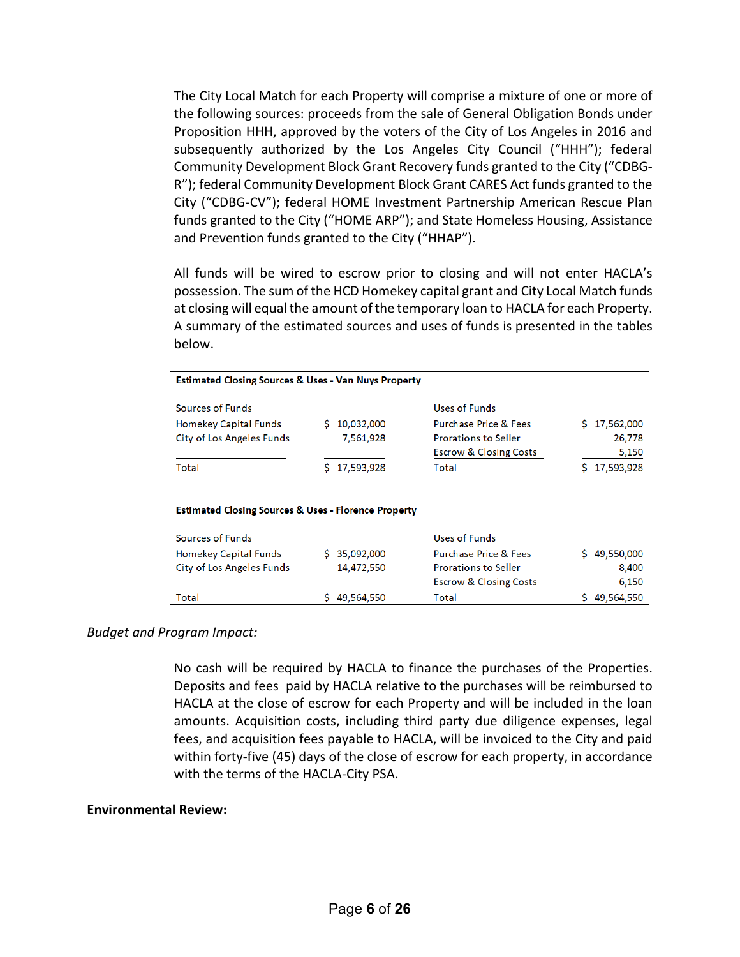The City Local Match for each Property will comprise a mixture of one or more of the following sources: proceeds from the sale of General Obligation Bonds under Proposition HHH, approved by the voters of the City of Los Angeles in 2016 and subsequently authorized by the Los Angeles City Council ("HHH"); federal Community Development Block Grant Recovery funds granted to the City ("CDBG-R"); federal Community Development Block Grant CARES Act funds granted to the City ("CDBG-CV"); federal HOME Investment Partnership American Rescue Plan funds granted to the City ("HOME ARP"); and State Homeless Housing, Assistance and Prevention funds granted to the City ("HHAP").

All funds will be wired to escrow prior to closing and will not enter HACLA's possession. The sum of the HCD Homekey capital grant and City Local Match funds at closing will equal the amount of the temporary loan to HACLA for each Property. A summary of the estimated sources and uses of funds is presented in the tables below.

| <b>Estimated Closing Sources &amp; Uses - Van Nuys Property</b> |   |            |                                   |    |            |
|-----------------------------------------------------------------|---|------------|-----------------------------------|----|------------|
| Sources of Funds                                                |   |            | Uses of Funds                     |    |            |
| Homekey Capital Funds                                           | s | 10,032,000 | <b>Purchase Price &amp; Fees</b>  | S. | 17,562,000 |
| City of Los Angeles Funds                                       |   | 7,561,928  | <b>Prorations to Seller</b>       |    | 26,778     |
|                                                                 |   |            | <b>Escrow &amp; Closing Costs</b> |    | 5,150      |
| Total                                                           | s | 17,593,928 | Total                             |    | 17,593,928 |
| <b>Estimated Closing Sources &amp; Uses - Florence Property</b> |   |            |                                   |    |            |
| <b>Sources of Funds</b>                                         |   |            | Uses of Funds                     |    |            |
| Homekey Capital Funds                                           |   | 35,092,000 | Purchase Price & Fees             |    | 49,550,000 |
| City of Los Angeles Funds                                       |   | 14,472,550 | <b>Prorations to Seller</b>       |    | 8,400      |
|                                                                 |   |            | <b>Escrow &amp; Closing Costs</b> |    | 6,150      |
| Total                                                           |   | 49,564,550 | Total                             |    | 49,564,550 |

### *Budget and Program Impact:*

No cash will be required by HACLA to finance the purchases of the Properties. Deposits and fees paid by HACLA relative to the purchases will be reimbursed to HACLA at the close of escrow for each Property and will be included in the loan amounts. Acquisition costs, including third party due diligence expenses, legal fees, and acquisition fees payable to HACLA, will be invoiced to the City and paid within forty-five (45) days of the close of escrow for each property, in accordance with the terms of the HACLA-City PSA.

#### **Environmental Review:**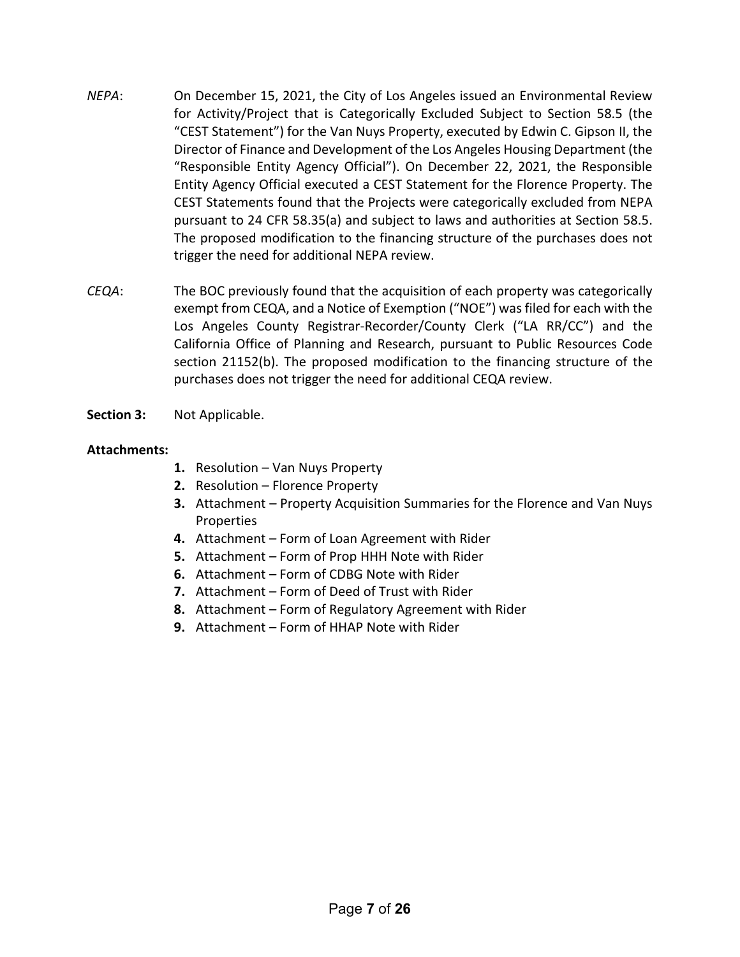- *NEPA*: On December 15, 2021, the City of Los Angeles issued an Environmental Review for Activity/Project that is Categorically Excluded Subject to Section 58.5 (the "CEST Statement") for the Van Nuys Property, executed by Edwin C. Gipson II, the Director of Finance and Development of the Los Angeles Housing Department (the "Responsible Entity Agency Official"). On December 22, 2021, the Responsible Entity Agency Official executed a CEST Statement for the Florence Property. The CEST Statements found that the Projects were categorically excluded from NEPA pursuant to 24 CFR 58.35(a) and subject to laws and authorities at Section 58.5. The proposed modification to the financing structure of the purchases does not trigger the need for additional NEPA review.
- *CEQA*: The BOC previously found that the acquisition of each property was categorically exempt from CEQA, and a Notice of Exemption ("NOE") was filed for each with the Los Angeles County Registrar-Recorder/County Clerk ("LA RR/CC") and the California Office of Planning and Research, pursuant to Public Resources Code section 21152(b). The proposed modification to the financing structure of the purchases does not trigger the need for additional CEQA review.
- **Section 3:** Not Applicable.

### **Attachments:**

- **1.** Resolution Van Nuys Property
- **2.** Resolution Florence Property
- **3.** Attachment Property Acquisition Summaries for the Florence and Van Nuys Properties
- **4.** Attachment Form of Loan Agreement with Rider
- **5.** Attachment Form of Prop HHH Note with Rider
- **6.** Attachment Form of CDBG Note with Rider
- **7.** Attachment Form of Deed of Trust with Rider
- **8.** Attachment Form of Regulatory Agreement with Rider
- **9.** Attachment Form of HHAP Note with Rider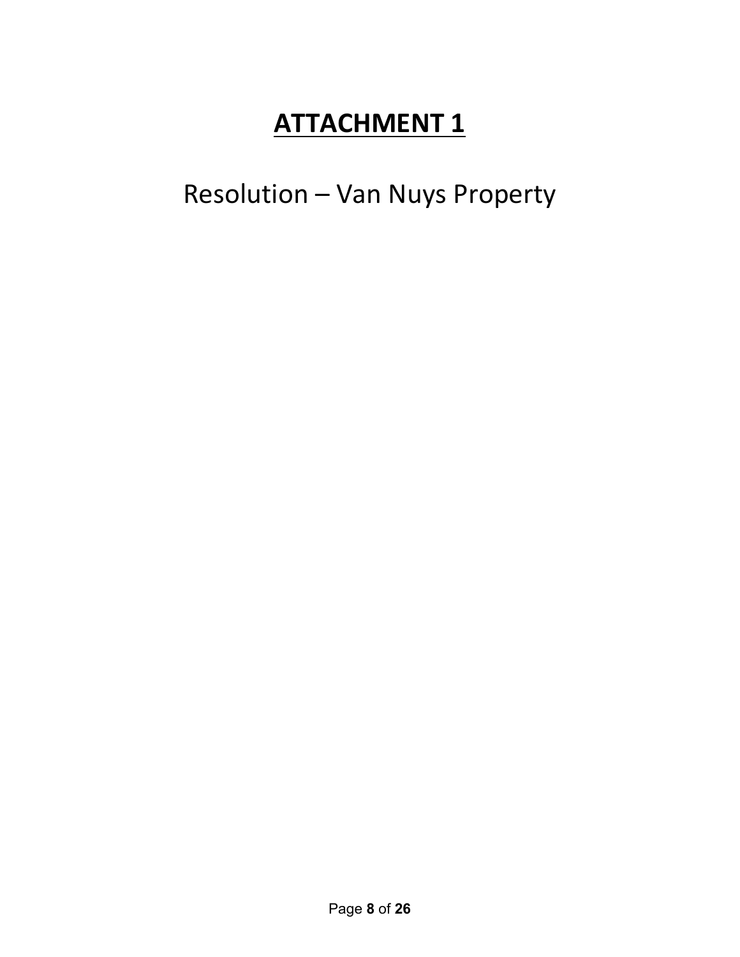Resolution – Van Nuys Property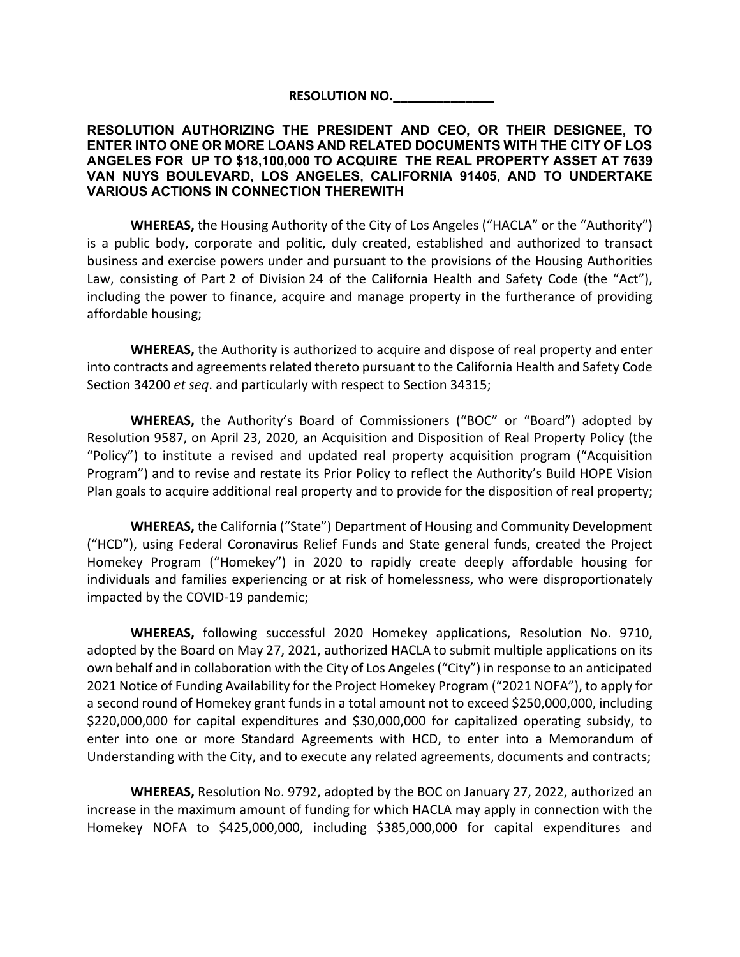**RESOLUTION NO.\_\_\_\_\_\_\_\_\_\_\_\_\_\_**

#### **RESOLUTION AUTHORIZING THE PRESIDENT AND CEO, OR THEIR DESIGNEE, TO ENTER INTO ONE OR MORE LOANS AND RELATED DOCUMENTS WITH THE CITY OF LOS ANGELES FOR UP TO \$18,100,000 TO ACQUIRE THE REAL PROPERTY ASSET AT 7639 VAN NUYS BOULEVARD, LOS ANGELES, CALIFORNIA 91405, AND TO UNDERTAKE VARIOUS ACTIONS IN CONNECTION THEREWITH**

**WHEREAS,** the Housing Authority of the City of Los Angeles ("HACLA" or the "Authority") is a public body, corporate and politic, duly created, established and authorized to transact business and exercise powers under and pursuant to the provisions of the Housing Authorities Law, consisting of Part 2 of Division 24 of the California Health and Safety Code (the "Act"), including the power to finance, acquire and manage property in the furtherance of providing affordable housing;

**WHEREAS,** the Authority is authorized to acquire and dispose of real property and enter into contracts and agreements related thereto pursuant to the California Health and Safety Code Section 34200 *et seq*. and particularly with respect to Section 34315;

**WHEREAS,** the Authority's Board of Commissioners ("BOC" or "Board") adopted by Resolution 9587, on April 23, 2020, an Acquisition and Disposition of Real Property Policy (the "Policy") to institute a revised and updated real property acquisition program ("Acquisition Program") and to revise and restate its Prior Policy to reflect the Authority's Build HOPE Vision Plan goals to acquire additional real property and to provide for the disposition of real property;

**WHEREAS,** the California ("State") Department of Housing and Community Development ("HCD"), using Federal Coronavirus Relief Funds and State general funds, created the Project Homekey Program ("Homekey") in 2020 to rapidly create deeply affordable housing for individuals and families experiencing or at risk of homelessness, who were disproportionately impacted by the COVID-19 pandemic;

**WHEREAS,** following successful 2020 Homekey applications, Resolution No. 9710, adopted by the Board on May 27, 2021, authorized HACLA to submit multiple applications on its own behalf and in collaboration with the City of Los Angeles ("City") in response to an anticipated 2021 Notice of Funding Availability for the Project Homekey Program ("2021 NOFA"), to apply for a second round of Homekey grant funds in a total amount not to exceed \$250,000,000, including \$220,000,000 for capital expenditures and \$30,000,000 for capitalized operating subsidy, to enter into one or more Standard Agreements with HCD, to enter into a Memorandum of Understanding with the City, and to execute any related agreements, documents and contracts;

**WHEREAS,** Resolution No. 9792, adopted by the BOC on January 27, 2022, authorized an increase in the maximum amount of funding for which HACLA may apply in connection with the Homekey NOFA to \$425,000,000, including \$385,000,000 for capital expenditures and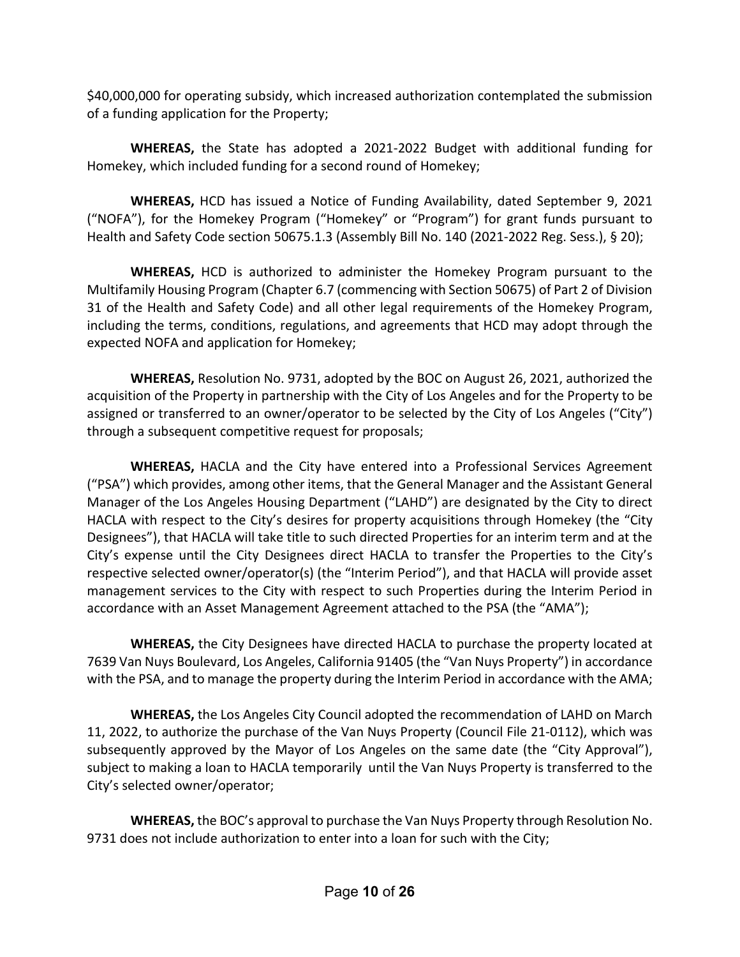\$40,000,000 for operating subsidy, which increased authorization contemplated the submission of a funding application for the Property;

**WHEREAS,** the State has adopted a 2021-2022 Budget with additional funding for Homekey, which included funding for a second round of Homekey;

**WHEREAS,** HCD has issued a Notice of Funding Availability, dated September 9, 2021 ("NOFA"), for the Homekey Program ("Homekey" or "Program") for grant funds pursuant to Health and Safety Code section 50675.1.3 (Assembly Bill No. 140 (2021-2022 Reg. Sess.), § 20);

**WHEREAS,** HCD is authorized to administer the Homekey Program pursuant to the Multifamily Housing Program (Chapter 6.7 (commencing with Section 50675) of Part 2 of Division 31 of the Health and Safety Code) and all other legal requirements of the Homekey Program, including the terms, conditions, regulations, and agreements that HCD may adopt through the expected NOFA and application for Homekey;

**WHEREAS,** Resolution No. 9731, adopted by the BOC on August 26, 2021, authorized the acquisition of the Property in partnership with the City of Los Angeles and for the Property to be assigned or transferred to an owner/operator to be selected by the City of Los Angeles ("City") through a subsequent competitive request for proposals;

**WHEREAS,** HACLA and the City have entered into a Professional Services Agreement ("PSA") which provides, among other items, that the General Manager and the Assistant General Manager of the Los Angeles Housing Department ("LAHD") are designated by the City to direct HACLA with respect to the City's desires for property acquisitions through Homekey (the "City Designees"), that HACLA will take title to such directed Properties for an interim term and at the City's expense until the City Designees direct HACLA to transfer the Properties to the City's respective selected owner/operator(s) (the "Interim Period"), and that HACLA will provide asset management services to the City with respect to such Properties during the Interim Period in accordance with an Asset Management Agreement attached to the PSA (the "AMA");

**WHEREAS,** the City Designees have directed HACLA to purchase the property located at 7639 Van Nuys Boulevard, Los Angeles, California 91405 (the "Van Nuys Property") in accordance with the PSA, and to manage the property during the Interim Period in accordance with the AMA;

**WHEREAS,** the Los Angeles City Council adopted the recommendation of LAHD on March 11, 2022, to authorize the purchase of the Van Nuys Property (Council File 21-0112), which was subsequently approved by the Mayor of Los Angeles on the same date (the "City Approval"), subject to making a loan to HACLA temporarily until the Van Nuys Property is transferred to the City's selected owner/operator;

**WHEREAS,** the BOC's approval to purchase the Van Nuys Property through Resolution No. 9731 does not include authorization to enter into a loan for such with the City;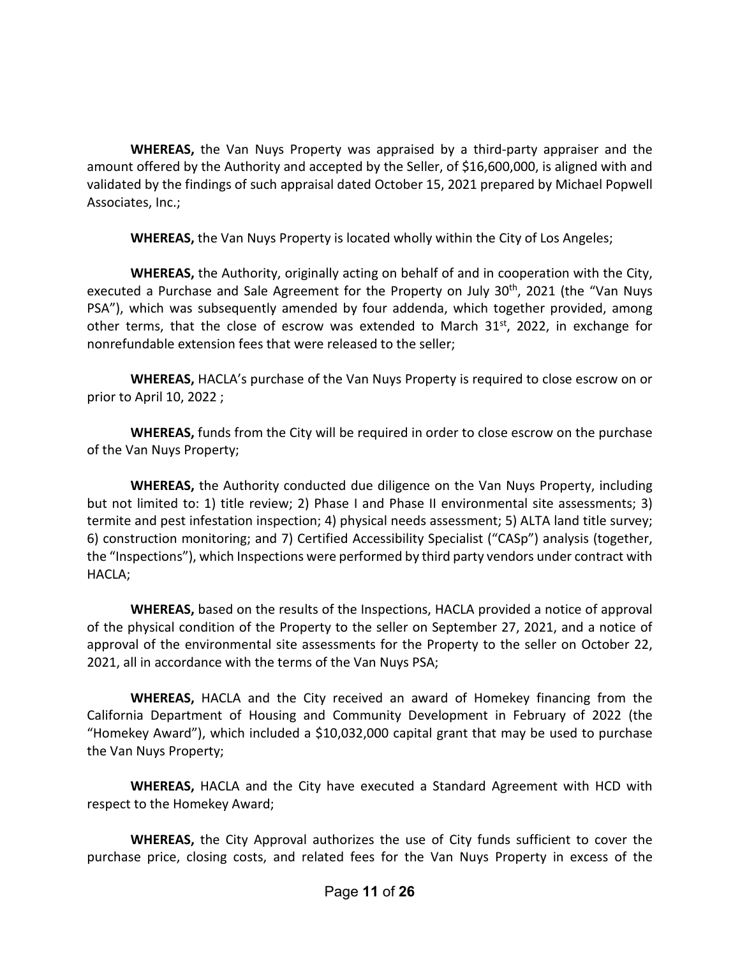**WHEREAS,** the Van Nuys Property was appraised by a third-party appraiser and the amount offered by the Authority and accepted by the Seller, of \$16,600,000, is aligned with and validated by the findings of such appraisal dated October 15, 2021 prepared by Michael Popwell Associates, Inc.;

**WHEREAS,** the Van Nuys Property is located wholly within the City of Los Angeles;

**WHEREAS,** the Authority, originally acting on behalf of and in cooperation with the City, executed a Purchase and Sale Agreement for the Property on July  $30<sup>th</sup>$ , 2021 (the "Van Nuys PSA"), which was subsequently amended by four addenda, which together provided, among other terms, that the close of escrow was extended to March  $31^{st}$ , 2022, in exchange for nonrefundable extension fees that were released to the seller;

**WHEREAS,** HACLA's purchase of the Van Nuys Property is required to close escrow on or prior to April 10, 2022 ;

**WHEREAS,** funds from the City will be required in order to close escrow on the purchase of the Van Nuys Property;

**WHEREAS,** the Authority conducted due diligence on the Van Nuys Property, including but not limited to: 1) title review; 2) Phase I and Phase II environmental site assessments; 3) termite and pest infestation inspection; 4) physical needs assessment; 5) ALTA land title survey; 6) construction monitoring; and 7) Certified Accessibility Specialist ("CASp") analysis (together, the "Inspections"), which Inspections were performed by third party vendors under contract with HACLA;

**WHEREAS,** based on the results of the Inspections, HACLA provided a notice of approval of the physical condition of the Property to the seller on September 27, 2021, and a notice of approval of the environmental site assessments for the Property to the seller on October 22, 2021, all in accordance with the terms of the Van Nuys PSA;

**WHEREAS,** HACLA and the City received an award of Homekey financing from the California Department of Housing and Community Development in February of 2022 (the "Homekey Award"), which included a \$10,032,000 capital grant that may be used to purchase the Van Nuys Property;

**WHEREAS,** HACLA and the City have executed a Standard Agreement with HCD with respect to the Homekey Award;

**WHEREAS,** the City Approval authorizes the use of City funds sufficient to cover the purchase price, closing costs, and related fees for the Van Nuys Property in excess of the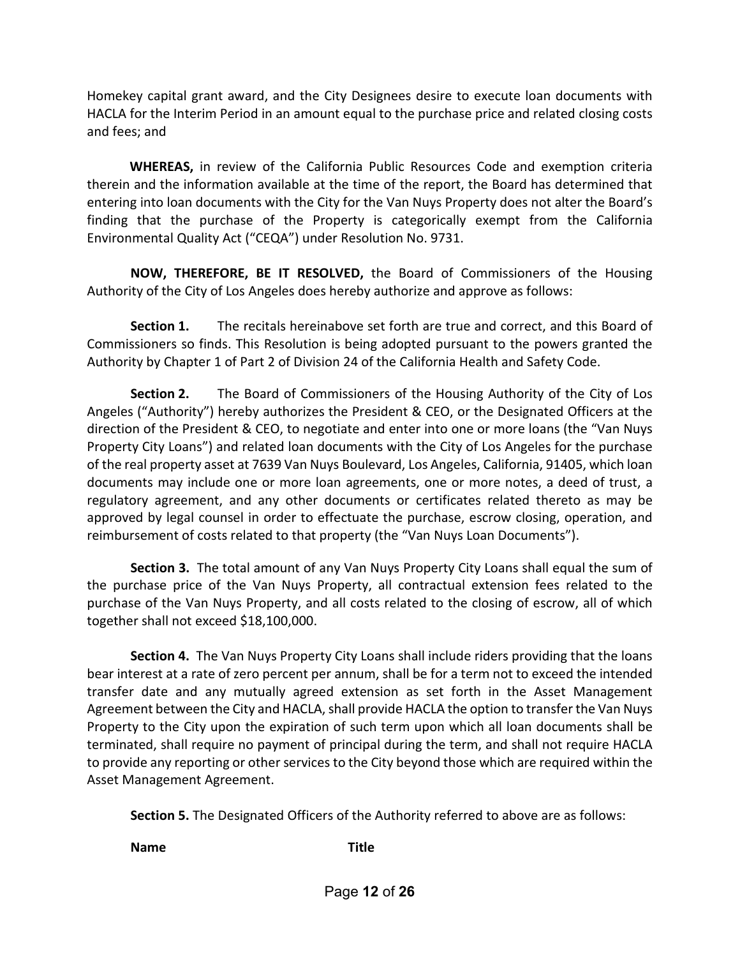Homekey capital grant award, and the City Designees desire to execute loan documents with HACLA for the Interim Period in an amount equal to the purchase price and related closing costs and fees; and

 **WHEREAS,** in review of the California Public Resources Code and exemption criteria therein and the information available at the time of the report, the Board has determined that entering into loan documents with the City for the Van Nuys Property does not alter the Board's finding that the purchase of the Property is categorically exempt from the California Environmental Quality Act ("CEQA") under Resolution No. 9731.

**NOW, THEREFORE, BE IT RESOLVED,** the Board of Commissioners of the Housing Authority of the City of Los Angeles does hereby authorize and approve as follows:

**Section 1.** The recitals hereinabove set forth are true and correct, and this Board of Commissioners so finds. This Resolution is being adopted pursuant to the powers granted the Authority by Chapter 1 of Part 2 of Division 24 of the California Health and Safety Code.

**Section 2.** The Board of Commissioners of the Housing Authority of the City of Los Angeles ("Authority") hereby authorizes the President & CEO, or the Designated Officers at the direction of the President & CEO, to negotiate and enter into one or more loans (the "Van Nuys Property City Loans") and related loan documents with the City of Los Angeles for the purchase of the real property asset at 7639 Van Nuys Boulevard, Los Angeles, California, 91405, which loan documents may include one or more loan agreements, one or more notes, a deed of trust, a regulatory agreement, and any other documents or certificates related thereto as may be approved by legal counsel in order to effectuate the purchase, escrow closing, operation, and reimbursement of costs related to that property (the "Van Nuys Loan Documents").

**Section 3.** The total amount of any Van Nuys Property City Loans shall equal the sum of the purchase price of the Van Nuys Property, all contractual extension fees related to the purchase of the Van Nuys Property, and all costs related to the closing of escrow, all of which together shall not exceed \$18,100,000.

**Section 4.** The Van Nuys Property City Loans shall include riders providing that the loans bear interest at a rate of zero percent per annum, shall be for a term not to exceed the intended transfer date and any mutually agreed extension as set forth in the Asset Management Agreement between the City and HACLA, shall provide HACLA the option to transfer the Van Nuys Property to the City upon the expiration of such term upon which all loan documents shall be terminated, shall require no payment of principal during the term, and shall not require HACLA to provide any reporting or other services to the City beyond those which are required within the Asset Management Agreement.

**Section 5.** The Designated Officers of the Authority referred to above are as follows:

**Name Title**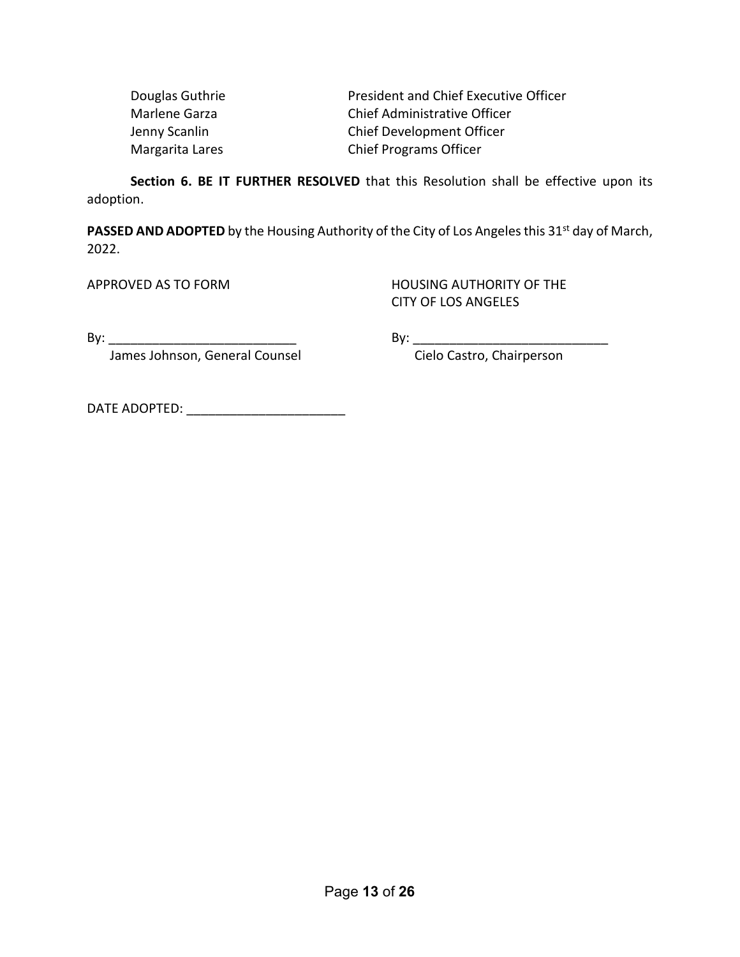| Douglas Guthrie | <b>President and Chief Executive Officer</b> |
|-----------------|----------------------------------------------|
| Marlene Garza   | Chief Administrative Officer                 |
| Jenny Scanlin   | Chief Development Officer                    |
| Margarita Lares | <b>Chief Programs Officer</b>                |

**Section 6. BE IT FURTHER RESOLVED** that this Resolution shall be effective upon its adoption.

PASSED AND ADOPTED by the Housing Authority of the City of Los Angeles this 31<sup>st</sup> day of March, 2022.

APPROVED AS TO FORM **HOUSING AUTHORITY OF THE** CITY OF LOS ANGELES

By: \_\_\_\_\_\_\_\_\_\_\_\_\_\_\_\_\_\_\_\_\_\_\_\_\_\_ By: \_\_\_\_\_\_\_\_\_\_\_\_\_\_\_\_\_\_\_\_\_\_\_\_\_\_\_

James Johnson, General Counsel **Constanding Construment Cielo Castro**, Chairperson

DATE ADOPTED: \_\_\_\_\_\_\_\_\_\_\_\_\_\_\_\_\_\_\_\_\_\_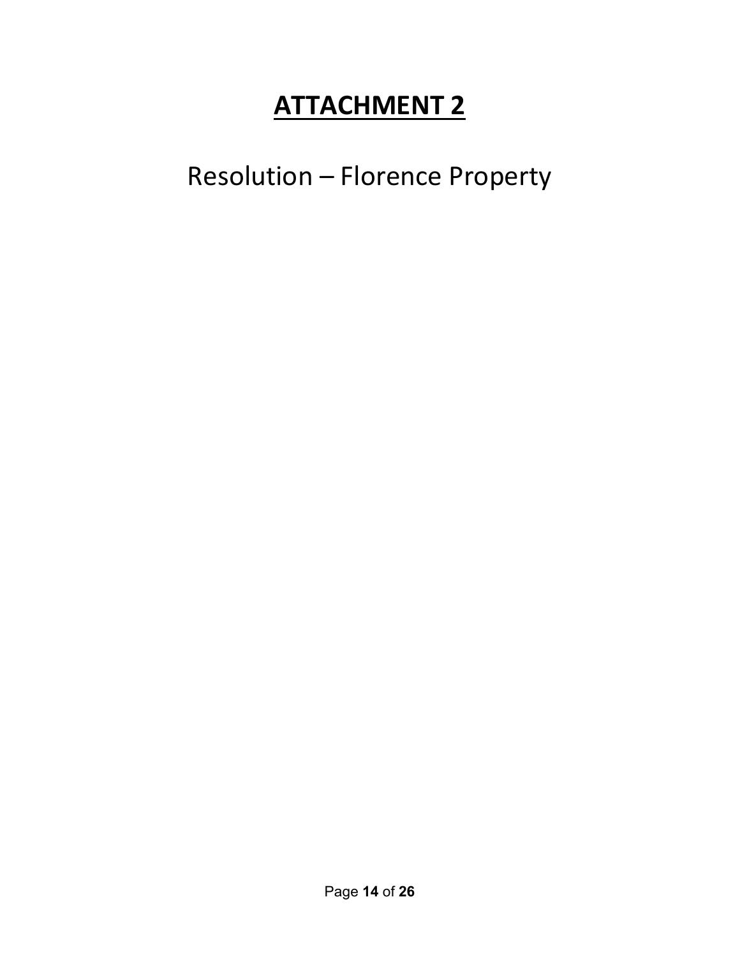Resolution – Florence Property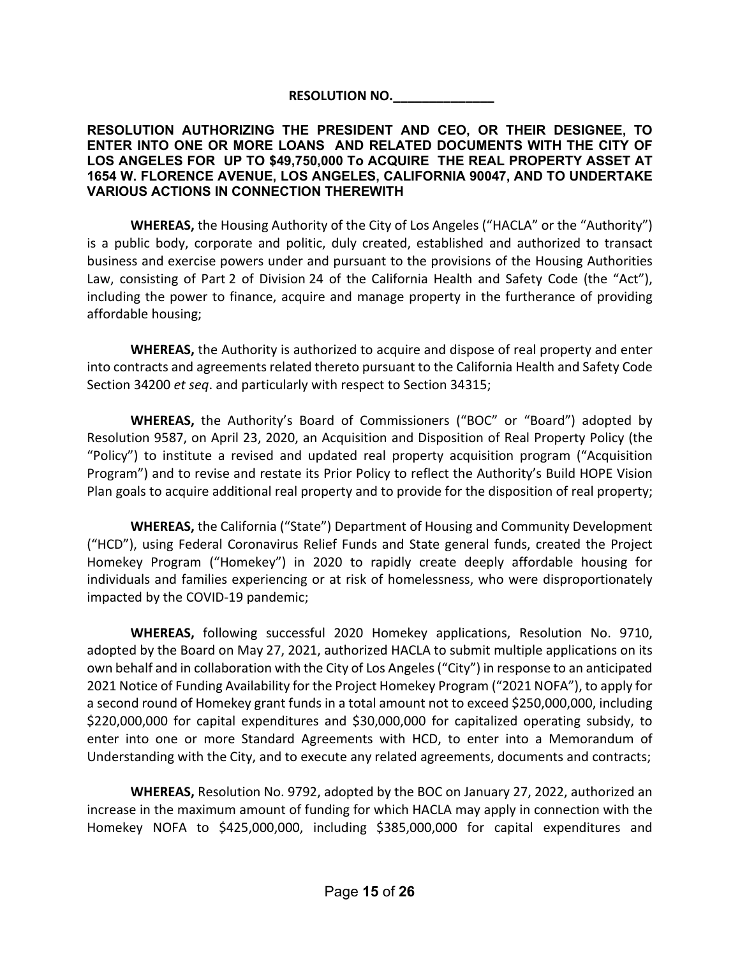**RESOLUTION NO.\_\_\_\_\_\_\_\_\_\_\_\_\_\_**

### **RESOLUTION AUTHORIZING THE PRESIDENT AND CEO, OR THEIR DESIGNEE, TO ENTER INTO ONE OR MORE LOANS AND RELATED DOCUMENTS WITH THE CITY OF LOS ANGELES FOR UP TO \$49,750,000 To ACQUIRE THE REAL PROPERTY ASSET AT 1654 W. FLORENCE AVENUE, LOS ANGELES, CALIFORNIA 90047, AND TO UNDERTAKE VARIOUS ACTIONS IN CONNECTION THEREWITH**

**WHEREAS,** the Housing Authority of the City of Los Angeles ("HACLA" or the "Authority") is a public body, corporate and politic, duly created, established and authorized to transact business and exercise powers under and pursuant to the provisions of the Housing Authorities Law, consisting of Part 2 of Division 24 of the California Health and Safety Code (the "Act"), including the power to finance, acquire and manage property in the furtherance of providing affordable housing;

**WHEREAS,** the Authority is authorized to acquire and dispose of real property and enter into contracts and agreements related thereto pursuant to the California Health and Safety Code Section 34200 *et seq*. and particularly with respect to Section 34315;

**WHEREAS,** the Authority's Board of Commissioners ("BOC" or "Board") adopted by Resolution 9587, on April 23, 2020, an Acquisition and Disposition of Real Property Policy (the "Policy") to institute a revised and updated real property acquisition program ("Acquisition Program") and to revise and restate its Prior Policy to reflect the Authority's Build HOPE Vision Plan goals to acquire additional real property and to provide for the disposition of real property;

**WHEREAS,** the California ("State") Department of Housing and Community Development ("HCD"), using Federal Coronavirus Relief Funds and State general funds, created the Project Homekey Program ("Homekey") in 2020 to rapidly create deeply affordable housing for individuals and families experiencing or at risk of homelessness, who were disproportionately impacted by the COVID-19 pandemic;

**WHEREAS,** following successful 2020 Homekey applications, Resolution No. 9710, adopted by the Board on May 27, 2021, authorized HACLA to submit multiple applications on its own behalf and in collaboration with the City of Los Angeles ("City") in response to an anticipated 2021 Notice of Funding Availability for the Project Homekey Program ("2021 NOFA"), to apply for a second round of Homekey grant funds in a total amount not to exceed \$250,000,000, including \$220,000,000 for capital expenditures and \$30,000,000 for capitalized operating subsidy, to enter into one or more Standard Agreements with HCD, to enter into a Memorandum of Understanding with the City, and to execute any related agreements, documents and contracts;

**WHEREAS,** Resolution No. 9792, adopted by the BOC on January 27, 2022, authorized an increase in the maximum amount of funding for which HACLA may apply in connection with the Homekey NOFA to \$425,000,000, including \$385,000,000 for capital expenditures and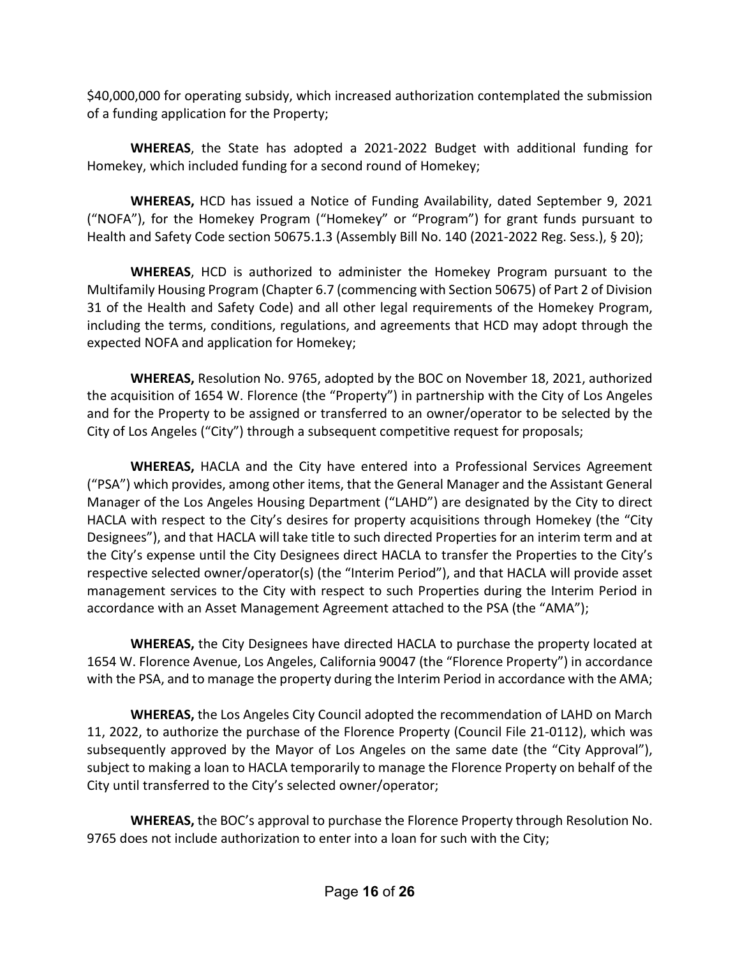\$40,000,000 for operating subsidy, which increased authorization contemplated the submission of a funding application for the Property;

**WHEREAS**, the State has adopted a 2021-2022 Budget with additional funding for Homekey, which included funding for a second round of Homekey;

**WHEREAS,** HCD has issued a Notice of Funding Availability, dated September 9, 2021 ("NOFA"), for the Homekey Program ("Homekey" or "Program") for grant funds pursuant to Health and Safety Code section 50675.1.3 (Assembly Bill No. 140 (2021-2022 Reg. Sess.), § 20);

**WHEREAS**, HCD is authorized to administer the Homekey Program pursuant to the Multifamily Housing Program (Chapter 6.7 (commencing with Section 50675) of Part 2 of Division 31 of the Health and Safety Code) and all other legal requirements of the Homekey Program, including the terms, conditions, regulations, and agreements that HCD may adopt through the expected NOFA and application for Homekey;

**WHEREAS,** Resolution No. 9765, adopted by the BOC on November 18, 2021, authorized the acquisition of 1654 W. Florence (the "Property") in partnership with the City of Los Angeles and for the Property to be assigned or transferred to an owner/operator to be selected by the City of Los Angeles ("City") through a subsequent competitive request for proposals;

**WHEREAS,** HACLA and the City have entered into a Professional Services Agreement ("PSA") which provides, among other items, that the General Manager and the Assistant General Manager of the Los Angeles Housing Department ("LAHD") are designated by the City to direct HACLA with respect to the City's desires for property acquisitions through Homekey (the "City Designees"), and that HACLA will take title to such directed Properties for an interim term and at the City's expense until the City Designees direct HACLA to transfer the Properties to the City's respective selected owner/operator(s) (the "Interim Period"), and that HACLA will provide asset management services to the City with respect to such Properties during the Interim Period in accordance with an Asset Management Agreement attached to the PSA (the "AMA");

**WHEREAS,** the City Designees have directed HACLA to purchase the property located at 1654 W. Florence Avenue, Los Angeles, California 90047 (the "Florence Property") in accordance with the PSA, and to manage the property during the Interim Period in accordance with the AMA;

**WHEREAS,** the Los Angeles City Council adopted the recommendation of LAHD on March 11, 2022, to authorize the purchase of the Florence Property (Council File 21-0112), which was subsequently approved by the Mayor of Los Angeles on the same date (the "City Approval"), subject to making a loan to HACLA temporarily to manage the Florence Property on behalf of the City until transferred to the City's selected owner/operator;

**WHEREAS,** the BOC's approval to purchase the Florence Property through Resolution No. 9765 does not include authorization to enter into a loan for such with the City;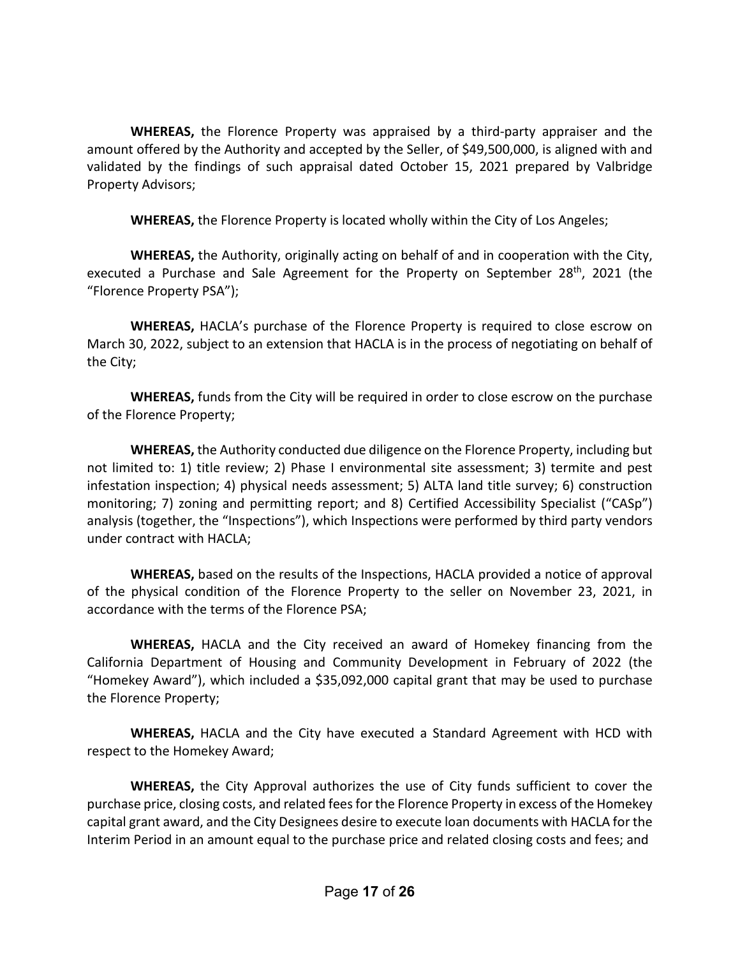**WHEREAS,** the Florence Property was appraised by a third-party appraiser and the amount offered by the Authority and accepted by the Seller, of \$49,500,000, is aligned with and validated by the findings of such appraisal dated October 15, 2021 prepared by Valbridge Property Advisors;

**WHEREAS,** the Florence Property is located wholly within the City of Los Angeles;

**WHEREAS,** the Authority, originally acting on behalf of and in cooperation with the City, executed a Purchase and Sale Agreement for the Property on September 28<sup>th</sup>, 2021 (the "Florence Property PSA");

**WHEREAS,** HACLA's purchase of the Florence Property is required to close escrow on March 30, 2022, subject to an extension that HACLA is in the process of negotiating on behalf of the City;

**WHEREAS,** funds from the City will be required in order to close escrow on the purchase of the Florence Property;

**WHEREAS,** the Authority conducted due diligence on the Florence Property, including but not limited to: 1) title review; 2) Phase I environmental site assessment; 3) termite and pest infestation inspection; 4) physical needs assessment; 5) ALTA land title survey; 6) construction monitoring; 7) zoning and permitting report; and 8) Certified Accessibility Specialist ("CASp") analysis (together, the "Inspections"), which Inspections were performed by third party vendors under contract with HACLA;

**WHEREAS,** based on the results of the Inspections, HACLA provided a notice of approval of the physical condition of the Florence Property to the seller on November 23, 2021, in accordance with the terms of the Florence PSA;

**WHEREAS,** HACLA and the City received an award of Homekey financing from the California Department of Housing and Community Development in February of 2022 (the "Homekey Award"), which included a \$35,092,000 capital grant that may be used to purchase the Florence Property;

**WHEREAS,** HACLA and the City have executed a Standard Agreement with HCD with respect to the Homekey Award;

**WHEREAS,** the City Approval authorizes the use of City funds sufficient to cover the purchase price, closing costs, and related fees for the Florence Property in excess of the Homekey capital grant award, and the City Designees desire to execute loan documents with HACLA for the Interim Period in an amount equal to the purchase price and related closing costs and fees; and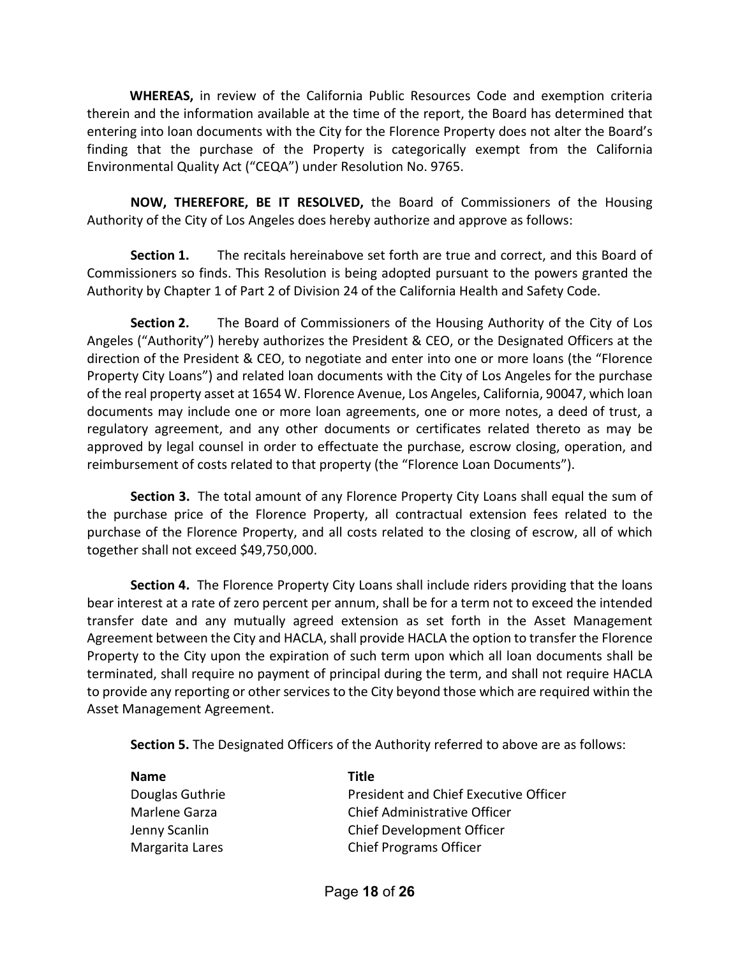**WHEREAS,** in review of the California Public Resources Code and exemption criteria therein and the information available at the time of the report, the Board has determined that entering into loan documents with the City for the Florence Property does not alter the Board's finding that the purchase of the Property is categorically exempt from the California Environmental Quality Act ("CEQA") under Resolution No. 9765.

**NOW, THEREFORE, BE IT RESOLVED,** the Board of Commissioners of the Housing Authority of the City of Los Angeles does hereby authorize and approve as follows:

**Section 1.** The recitals hereinabove set forth are true and correct, and this Board of Commissioners so finds. This Resolution is being adopted pursuant to the powers granted the Authority by Chapter 1 of Part 2 of Division 24 of the California Health and Safety Code.

**Section 2.** The Board of Commissioners of the Housing Authority of the City of Los Angeles ("Authority") hereby authorizes the President & CEO, or the Designated Officers at the direction of the President & CEO, to negotiate and enter into one or more loans (the "Florence Property City Loans") and related loan documents with the City of Los Angeles for the purchase of the real property asset at 1654 W. Florence Avenue, Los Angeles, California, 90047, which loan documents may include one or more loan agreements, one or more notes, a deed of trust, a regulatory agreement, and any other documents or certificates related thereto as may be approved by legal counsel in order to effectuate the purchase, escrow closing, operation, and reimbursement of costs related to that property (the "Florence Loan Documents").

**Section 3.** The total amount of any Florence Property City Loans shall equal the sum of the purchase price of the Florence Property, all contractual extension fees related to the purchase of the Florence Property, and all costs related to the closing of escrow, all of which together shall not exceed \$49,750,000.

**Section 4.** The Florence Property City Loans shall include riders providing that the loans bear interest at a rate of zero percent per annum, shall be for a term not to exceed the intended transfer date and any mutually agreed extension as set forth in the Asset Management Agreement between the City and HACLA, shall provide HACLA the option to transfer the Florence Property to the City upon the expiration of such term upon which all loan documents shall be terminated, shall require no payment of principal during the term, and shall not require HACLA to provide any reporting or other services to the City beyond those which are required within the Asset Management Agreement.

**Section 5.** The Designated Officers of the Authority referred to above are as follows:

| <b>Name</b>     | Title                                 |
|-----------------|---------------------------------------|
| Douglas Guthrie | President and Chief Executive Officer |
| Marlene Garza   | Chief Administrative Officer          |
| Jenny Scanlin   | Chief Development Officer             |
| Margarita Lares | <b>Chief Programs Officer</b>         |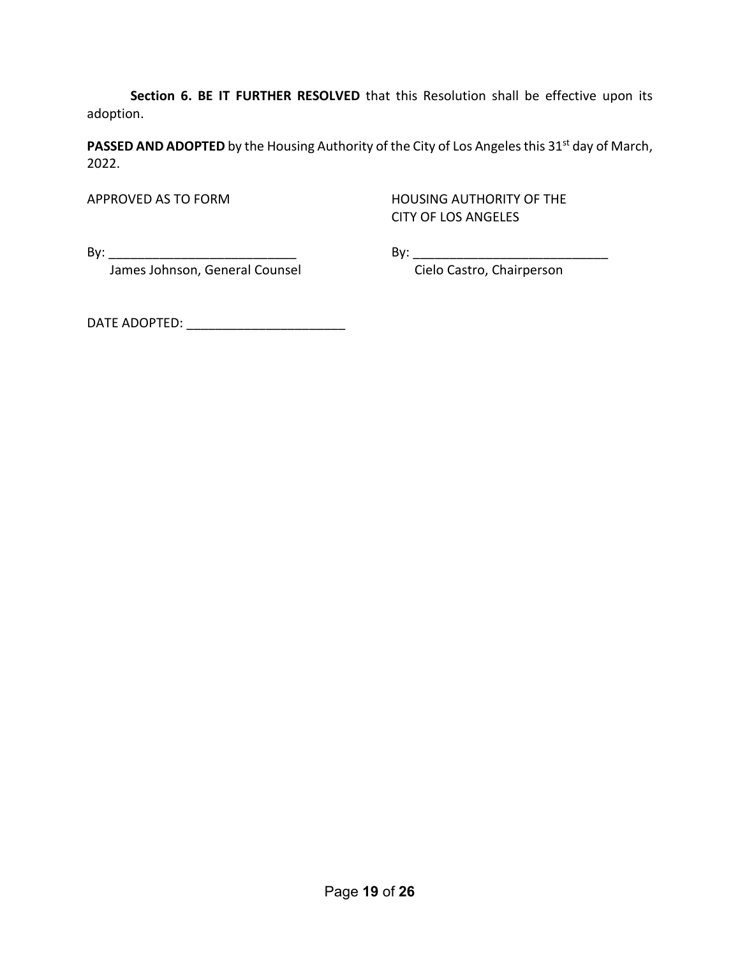**Section 6. BE IT FURTHER RESOLVED** that this Resolution shall be effective upon its adoption.

**PASSED AND ADOPTED** by the Housing Authority of the City of Los Angeles this 31<sup>st</sup> day of March, 2022.

APPROVED AS TO FORM HOUSING AUTHORITY OF THE CITY OF LOS ANGELES

By: \_\_\_\_\_\_\_\_\_\_\_\_\_\_\_\_\_\_\_\_\_\_\_\_\_\_ By: \_\_\_\_\_\_\_\_\_\_\_\_\_\_\_\_\_\_\_\_\_\_\_\_\_\_\_

James Johnson, General Counsel **Constanding Construment Cielo Castro**, Chairperson

DATE ADOPTED: \_\_\_\_\_\_\_\_\_\_\_\_\_\_\_\_\_\_\_\_\_\_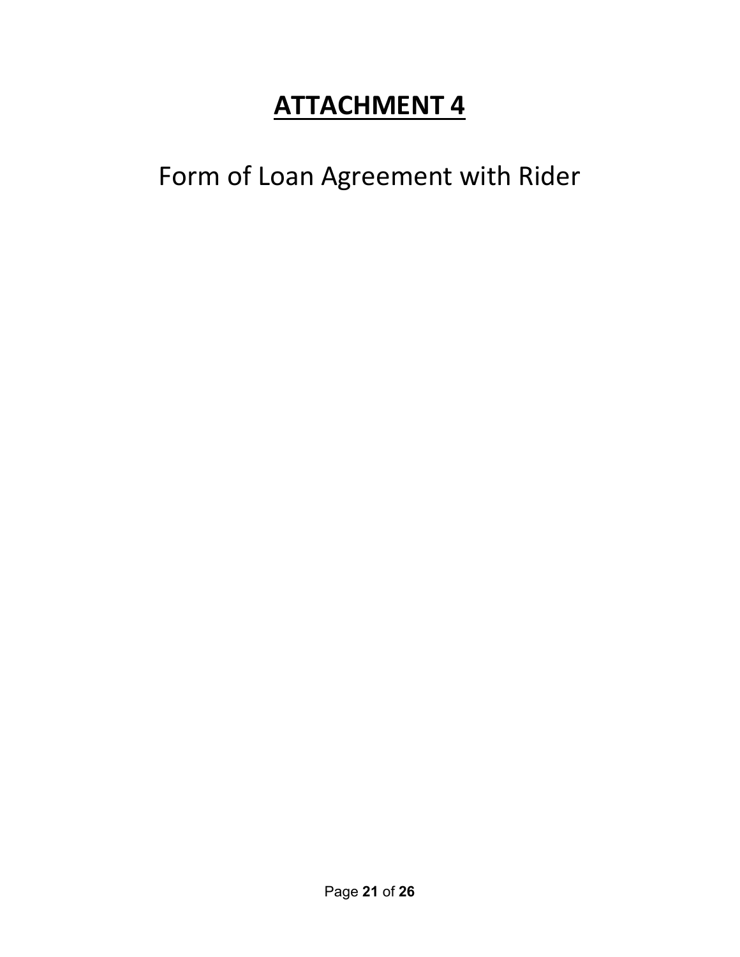Form of Loan Agreement with Rider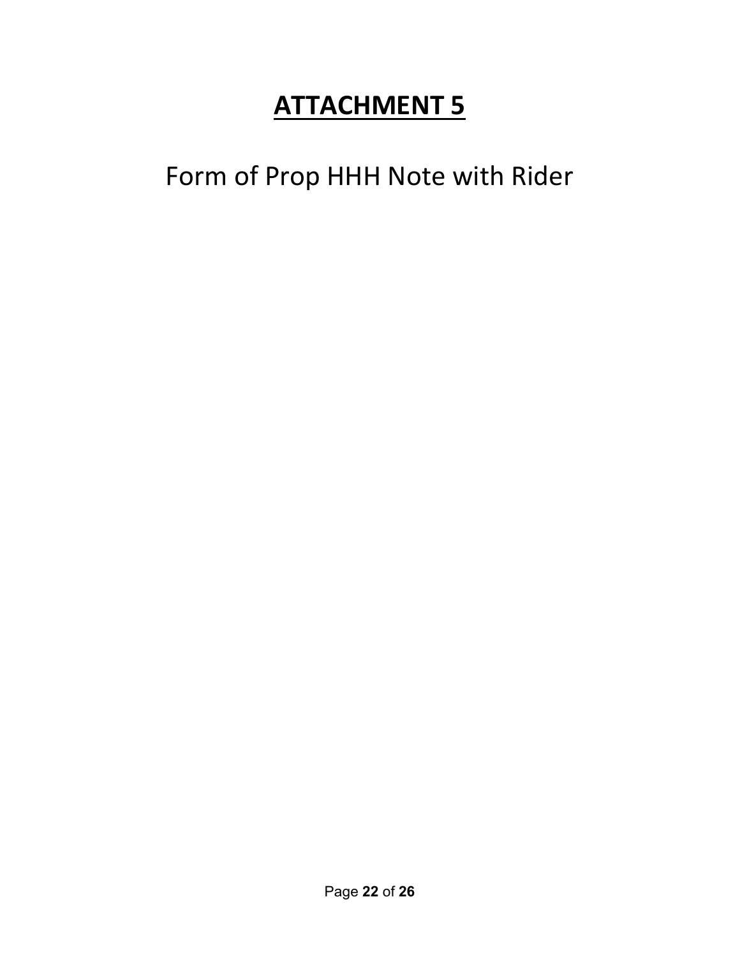## Form of Prop HHH Note with Rider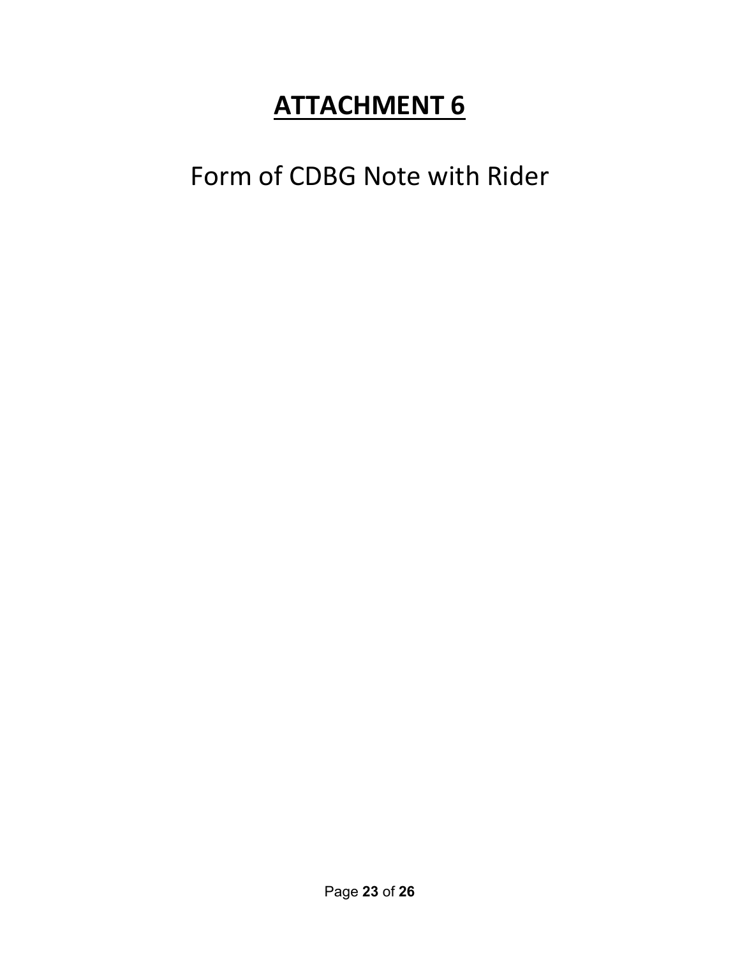Form of CDBG Note with Rider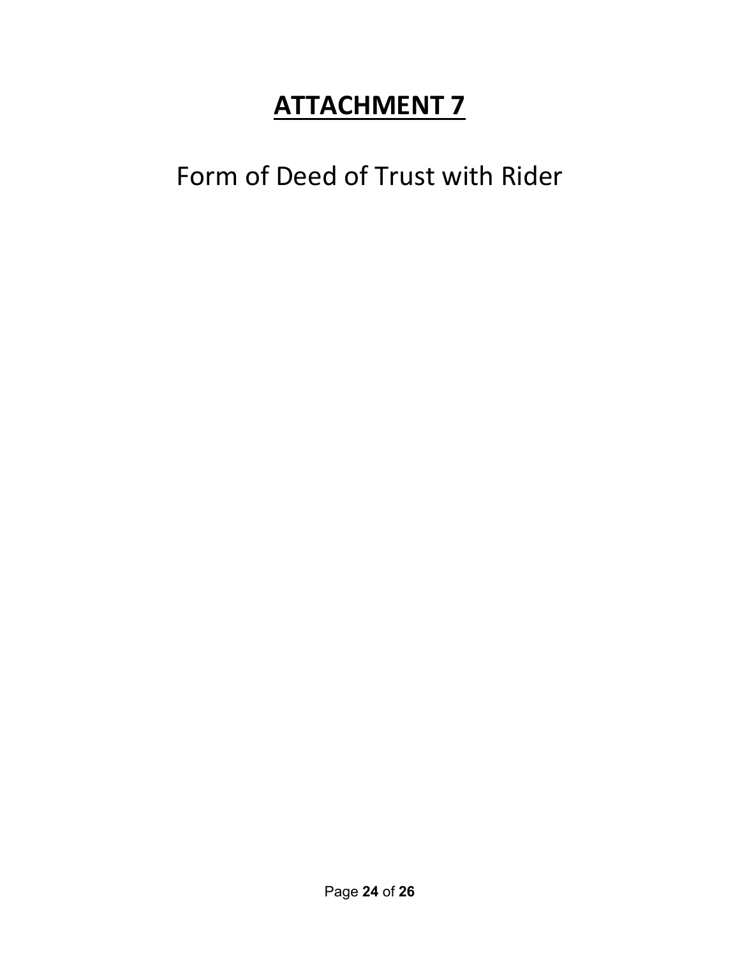Form of Deed of Trust with Rider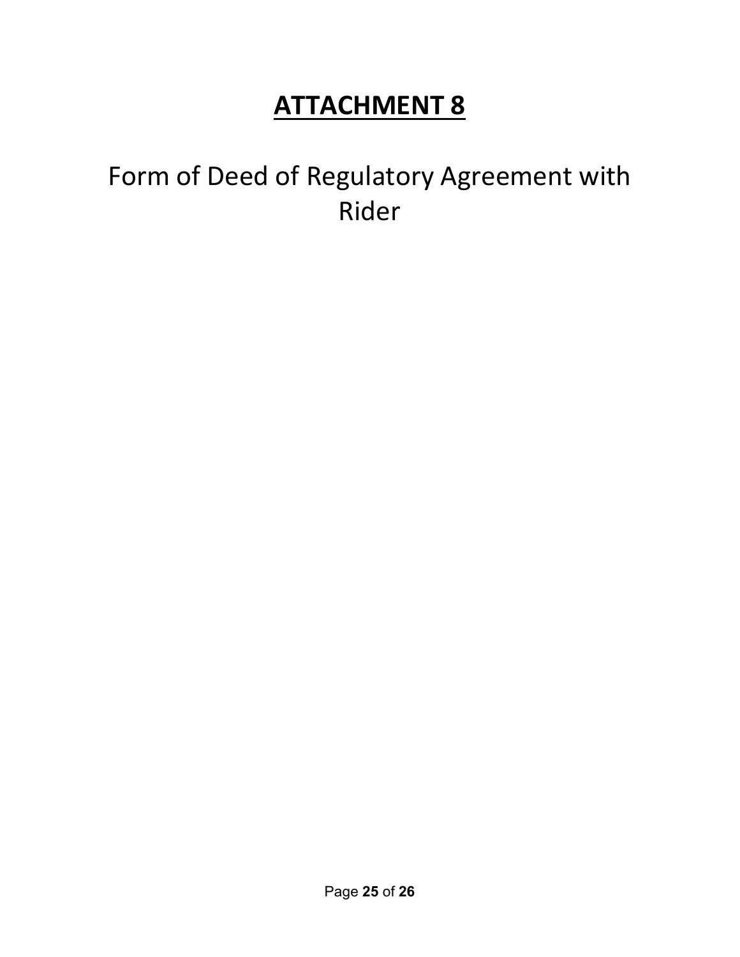## Form of Deed of Regulatory Agreement with Rider